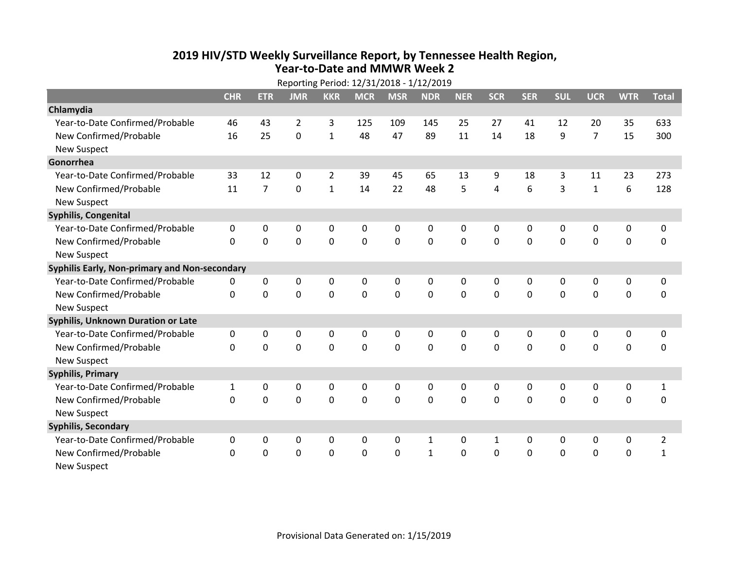## **2019 HIV /STD Weekly Surveillance Report, by Tennessee Health Region, Year‐to‐Date and MMWR Week 2**

| Reporting Period: 12/31/2018 - 1/12/2019      |              |                |             |                |            |             |              |              |              |              |            |                |             |                |
|-----------------------------------------------|--------------|----------------|-------------|----------------|------------|-------------|--------------|--------------|--------------|--------------|------------|----------------|-------------|----------------|
|                                               | <b>CHR</b>   | <b>ETR</b>     | <b>JMR</b>  | <b>KKR</b>     | <b>MCR</b> | <b>MSR</b>  | <b>NDR</b>   | <b>NER</b>   | <b>SCR</b>   | <b>SER</b>   | <b>SUL</b> | <b>UCR</b>     | <b>WTR</b>  | <b>Total</b>   |
| Chlamydia                                     |              |                |             |                |            |             |              |              |              |              |            |                |             |                |
| Year-to-Date Confirmed/Probable               | 46           | 43             | 2           | 3              | 125        | 109         | 145          | 25           | 27           | 41           | 12         | 20             | 35          | 633            |
| New Confirmed/Probable                        | 16           | 25             | 0           | $\mathbf{1}$   | 48         | 47          | 89           | 11           | 14           | 18           | 9          | $\overline{7}$ | 15          | 300            |
| <b>New Suspect</b>                            |              |                |             |                |            |             |              |              |              |              |            |                |             |                |
| Gonorrhea                                     |              |                |             |                |            |             |              |              |              |              |            |                |             |                |
| Year-to-Date Confirmed/Probable               | 33           | 12             | 0           | $\overline{2}$ | 39         | 45          | 65           | 13           | 9            | 18           | 3          | 11             | 23          | 273            |
| New Confirmed/Probable                        | 11           | $\overline{7}$ | 0           | $\mathbf{1}$   | 14         | 22          | 48           | 5            | 4            | 6            | 3          | $\mathbf{1}$   | 6           | 128            |
| <b>New Suspect</b>                            |              |                |             |                |            |             |              |              |              |              |            |                |             |                |
| Syphilis, Congenital                          |              |                |             |                |            |             |              |              |              |              |            |                |             |                |
| Year-to-Date Confirmed/Probable               | 0            | 0              | 0           | 0              | 0          | 0           | 0            | 0            | 0            | 0            | 0          | 0              | 0           | 0              |
| New Confirmed/Probable                        | $\mathbf{0}$ | 0              | 0           | $\mathbf 0$    | 0          | $\mathbf 0$ | $\mathbf 0$  | $\mathbf 0$  | $\mathbf 0$  | $\mathbf 0$  | 0          | $\mathbf 0$    | $\mathbf 0$ | $\mathbf 0$    |
| <b>New Suspect</b>                            |              |                |             |                |            |             |              |              |              |              |            |                |             |                |
| Syphilis Early, Non-primary and Non-secondary |              |                |             |                |            |             |              |              |              |              |            |                |             |                |
| Year-to-Date Confirmed/Probable               | 0            | 0              | 0           | 0              | 0          | 0           | 0            | 0            | 0            | 0            | 0          | 0              | 0           | $\mathbf 0$    |
| New Confirmed/Probable                        | $\mathbf{0}$ | $\mathbf{0}$   | 0           | $\mathbf 0$    | 0          | $\mathbf 0$ | $\mathbf 0$  | 0            | 0            | $\mathbf 0$  | 0          | 0              | $\mathbf 0$ | $\pmb{0}$      |
| <b>New Suspect</b>                            |              |                |             |                |            |             |              |              |              |              |            |                |             |                |
| <b>Syphilis, Unknown Duration or Late</b>     |              |                |             |                |            |             |              |              |              |              |            |                |             |                |
| Year-to-Date Confirmed/Probable               | 0            | 0              | 0           | 0              | 0          | 0           | 0            | $\mathbf{0}$ | $\mathbf{0}$ | $\mathbf{0}$ | 0          | 0              | 0           | $\mathbf 0$    |
| New Confirmed/Probable                        | $\Omega$     | $\Omega$       | 0           | 0              | 0          | $\mathbf 0$ | $\mathbf 0$  | $\Omega$     | $\Omega$     | $\Omega$     | 0          | $\Omega$       | $\mathbf 0$ | 0              |
| <b>New Suspect</b>                            |              |                |             |                |            |             |              |              |              |              |            |                |             |                |
| <b>Syphilis, Primary</b>                      |              |                |             |                |            |             |              |              |              |              |            |                |             |                |
| Year-to-Date Confirmed/Probable               | $\mathbf{1}$ | 0              | 0           | $\mathbf 0$    | 0          | 0           | 0            | 0            | $\mathbf 0$  | 0            | 0          | $\mathbf 0$    | 0           | $\mathbf{1}$   |
| New Confirmed/Probable                        | 0            | $\mathbf 0$    | 0           | $\mathbf 0$    | 0          | $\mathbf 0$ | $\mathbf 0$  | $\Omega$     | $\Omega$     | $\Omega$     | 0          | $\mathbf 0$    | $\mathbf 0$ | 0              |
| <b>New Suspect</b>                            |              |                |             |                |            |             |              |              |              |              |            |                |             |                |
| <b>Syphilis, Secondary</b>                    |              |                |             |                |            |             |              |              |              |              |            |                |             |                |
| Year-to-Date Confirmed/Probable               | 0            | 0              | $\mathbf 0$ | 0              | 0          | 0           | $\mathbf{1}$ | 0            | $\mathbf{1}$ | $\mathbf 0$  | 0          | $\mathbf 0$    | 0           | $\overline{2}$ |
| New Confirmed/Probable                        | $\Omega$     | 0              | 0           | $\mathbf 0$    | 0          | $\mathbf 0$ | $\mathbf{1}$ | 0            | 0            | $\mathbf 0$  | 0          | 0              | 0           | $\mathbf{1}$   |
| <b>New Suspect</b>                            |              |                |             |                |            |             |              |              |              |              |            |                |             |                |